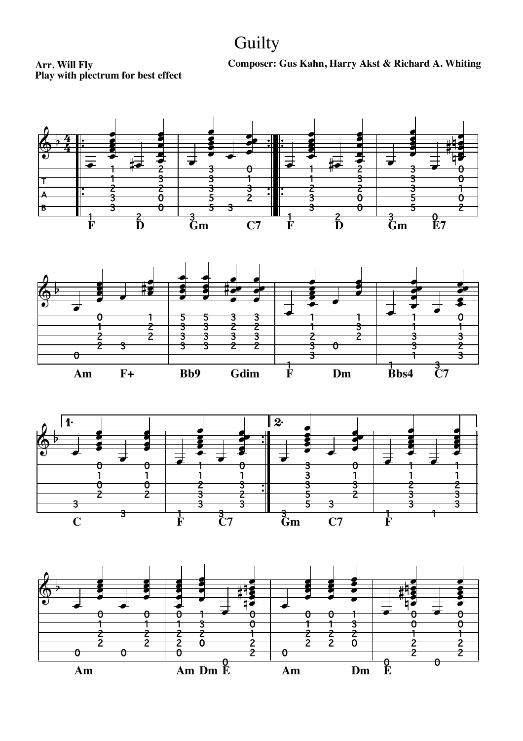## **Guilty**

**Arr. Will Fly Composer: Gus Kahn, Harry Akst & Richard A. Whiting**

**Play with plectrum for best effect**







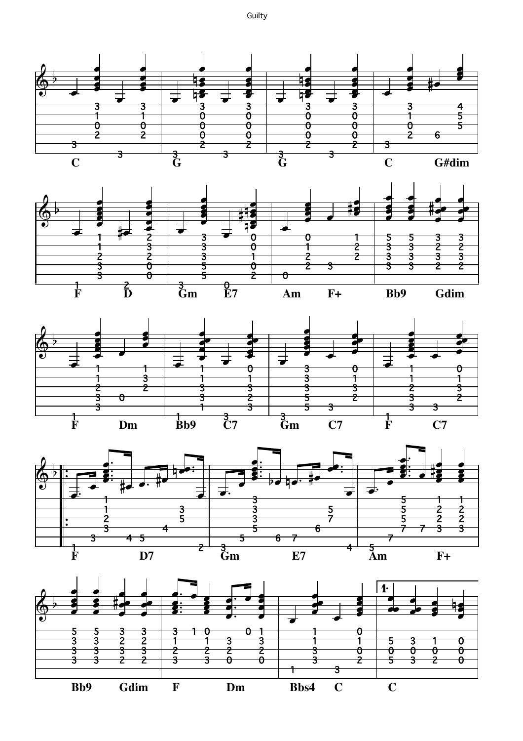